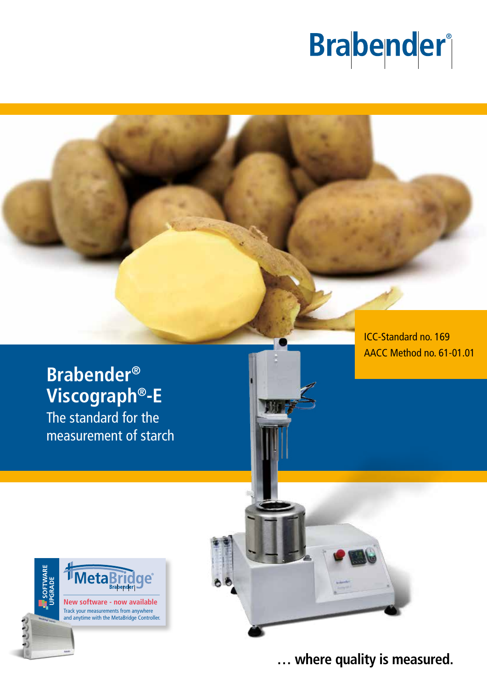# **Brabender**®

## **Brabender® Viscograph®-E**

The standard for the measurement of starch ICC-Standard no. 169 AACC Method no. 61-01.01





**… where quality is measured.**